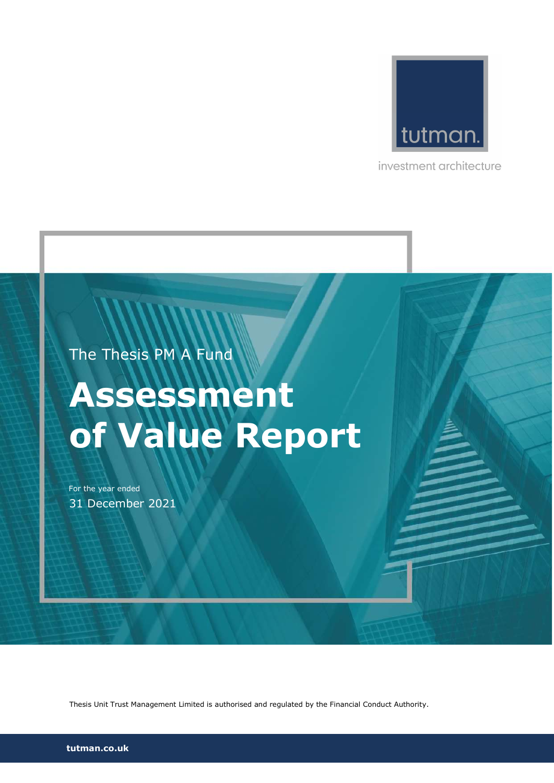

investment architecture

The Thesis PM A Fund

# Assessment of Value Report

For the year ended 31 December 2021

Thesis Unit Trust Management Limited is authorised and regulated by the Financial Conduct Authority.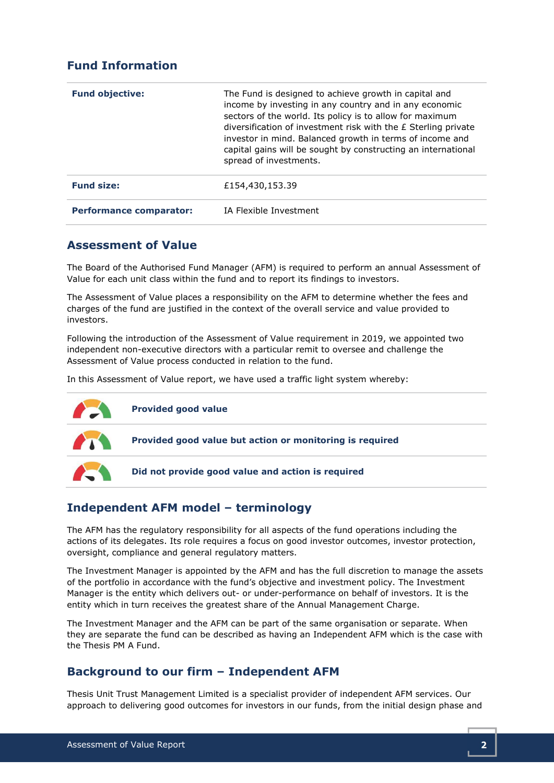# Fund Information

| <b>Fund objective:</b>         | The Fund is designed to achieve growth in capital and<br>income by investing in any country and in any economic<br>sectors of the world. Its policy is to allow for maximum<br>diversification of investment risk with the £ Sterling private<br>investor in mind. Balanced growth in terms of income and<br>capital gains will be sought by constructing an international<br>spread of investments. |
|--------------------------------|------------------------------------------------------------------------------------------------------------------------------------------------------------------------------------------------------------------------------------------------------------------------------------------------------------------------------------------------------------------------------------------------------|
| <b>Fund size:</b>              | £154,430,153.39                                                                                                                                                                                                                                                                                                                                                                                      |
| <b>Performance comparator:</b> | IA Flexible Investment                                                                                                                                                                                                                                                                                                                                                                               |

#### Assessment of Value

The Board of the Authorised Fund Manager (AFM) is required to perform an annual Assessment of Value for each unit class within the fund and to report its findings to investors.

The Assessment of Value places a responsibility on the AFM to determine whether the fees and charges of the fund are justified in the context of the overall service and value provided to investors.

Following the introduction of the Assessment of Value requirement in 2019, we appointed two independent non-executive directors with a particular remit to oversee and challenge the Assessment of Value process conducted in relation to the fund.

In this Assessment of Value report, we have used a traffic light system whereby:



# Independent AFM model – terminology

The AFM has the regulatory responsibility for all aspects of the fund operations including the actions of its delegates. Its role requires a focus on good investor outcomes, investor protection, oversight, compliance and general regulatory matters.

The Investment Manager is appointed by the AFM and has the full discretion to manage the assets of the portfolio in accordance with the fund's objective and investment policy. The Investment Manager is the entity which delivers out- or under-performance on behalf of investors. It is the entity which in turn receives the greatest share of the Annual Management Charge.

The Investment Manager and the AFM can be part of the same organisation or separate. When they are separate the fund can be described as having an Independent AFM which is the case with the Thesis PM A Fund.

# Background to our firm – Independent AFM

Thesis Unit Trust Management Limited is a specialist provider of independent AFM services. Our approach to delivering good outcomes for investors in our funds, from the initial design phase and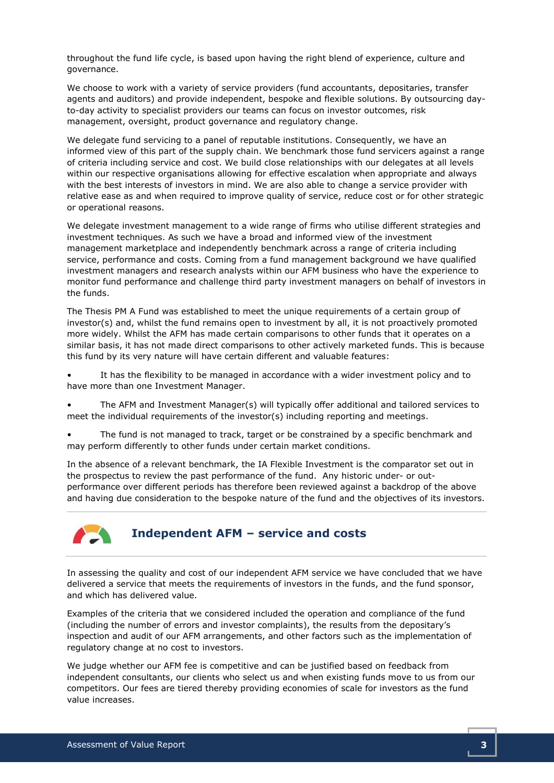throughout the fund life cycle, is based upon having the right blend of experience, culture and governance.

We choose to work with a variety of service providers (fund accountants, depositaries, transfer agents and auditors) and provide independent, bespoke and flexible solutions. By outsourcing dayto-day activity to specialist providers our teams can focus on investor outcomes, risk management, oversight, product governance and regulatory change.

We delegate fund servicing to a panel of reputable institutions. Consequently, we have an informed view of this part of the supply chain. We benchmark those fund servicers against a range of criteria including service and cost. We build close relationships with our delegates at all levels within our respective organisations allowing for effective escalation when appropriate and always with the best interests of investors in mind. We are also able to change a service provider with relative ease as and when required to improve quality of service, reduce cost or for other strategic or operational reasons.

We delegate investment management to a wide range of firms who utilise different strategies and investment techniques. As such we have a broad and informed view of the investment management marketplace and independently benchmark across a range of criteria including service, performance and costs. Coming from a fund management background we have qualified investment managers and research analysts within our AFM business who have the experience to monitor fund performance and challenge third party investment managers on behalf of investors in the funds.

The Thesis PM A Fund was established to meet the unique requirements of a certain group of investor(s) and, whilst the fund remains open to investment by all, it is not proactively promoted more widely. Whilst the AFM has made certain comparisons to other funds that it operates on a similar basis, it has not made direct comparisons to other actively marketed funds. This is because this fund by its very nature will have certain different and valuable features:

It has the flexibility to be managed in accordance with a wider investment policy and to have more than one Investment Manager.

• The AFM and Investment Manager(s) will typically offer additional and tailored services to meet the individual requirements of the investor(s) including reporting and meetings.

The fund is not managed to track, target or be constrained by a specific benchmark and may perform differently to other funds under certain market conditions.

In the absence of a relevant benchmark, the IA Flexible Investment is the comparator set out in the prospectus to review the past performance of the fund. Any historic under- or outperformance over different periods has therefore been reviewed against a backdrop of the above and having due consideration to the bespoke nature of the fund and the objectives of its investors.



#### Independent AFM – service and costs

In assessing the quality and cost of our independent AFM service we have concluded that we have delivered a service that meets the requirements of investors in the funds, and the fund sponsor, and which has delivered value.

Examples of the criteria that we considered included the operation and compliance of the fund (including the number of errors and investor complaints), the results from the depositary's inspection and audit of our AFM arrangements, and other factors such as the implementation of regulatory change at no cost to investors.

We judge whether our AFM fee is competitive and can be justified based on feedback from independent consultants, our clients who select us and when existing funds move to us from our competitors. Our fees are tiered thereby providing economies of scale for investors as the fund value increases.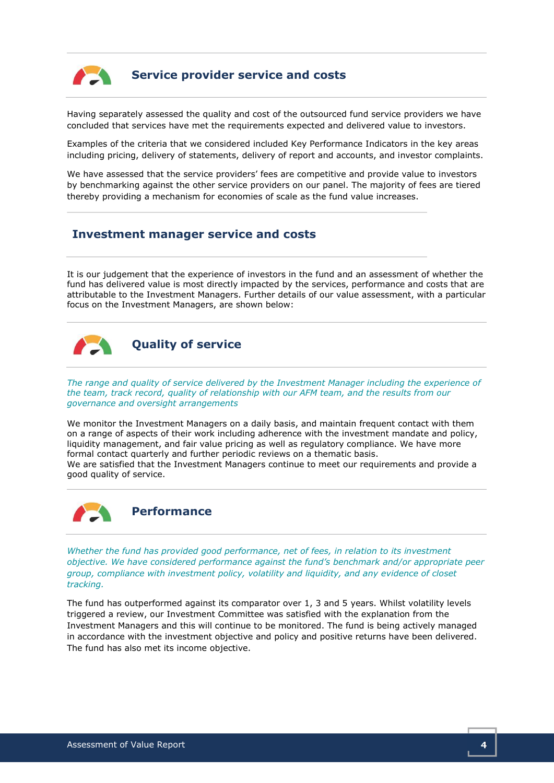

### Service provider service and costs

Having separately assessed the quality and cost of the outsourced fund service providers we have concluded that services have met the requirements expected and delivered value to investors.

Examples of the criteria that we considered included Key Performance Indicators in the key areas including pricing, delivery of statements, delivery of report and accounts, and investor complaints.

We have assessed that the service providers' fees are competitive and provide value to investors by benchmarking against the other service providers on our panel. The majority of fees are tiered thereby providing a mechanism for economies of scale as the fund value increases.

#### Investment manager service and costs

It is our judgement that the experience of investors in the fund and an assessment of whether the fund has delivered value is most directly impacted by the services, performance and costs that are attributable to the Investment Managers. Further details of our value assessment, with a particular focus on the Investment Managers, are shown below:



The range and quality of service delivered by the Investment Manager including the experience of the team, track record, quality of relationship with our AFM team, and the results from our governance and oversight arrangements

We monitor the Investment Managers on a daily basis, and maintain frequent contact with them on a range of aspects of their work including adherence with the investment mandate and policy, liquidity management, and fair value pricing as well as regulatory compliance. We have more formal contact quarterly and further periodic reviews on a thematic basis. We are satisfied that the Investment Managers continue to meet our requirements and provide a good quality of service.



#### Performance

Whether the fund has provided good performance, net of fees, in relation to its investment objective. We have considered performance against the fund's benchmark and/or appropriate peer group, compliance with investment policy, volatility and liquidity, and any evidence of closet tracking.

The fund has outperformed against its comparator over 1, 3 and 5 years. Whilst volatility levels triggered a review, our Investment Committee was satisfied with the explanation from the Investment Managers and this will continue to be monitored. The fund is being actively managed in accordance with the investment objective and policy and positive returns have been delivered. The fund has also met its income objective.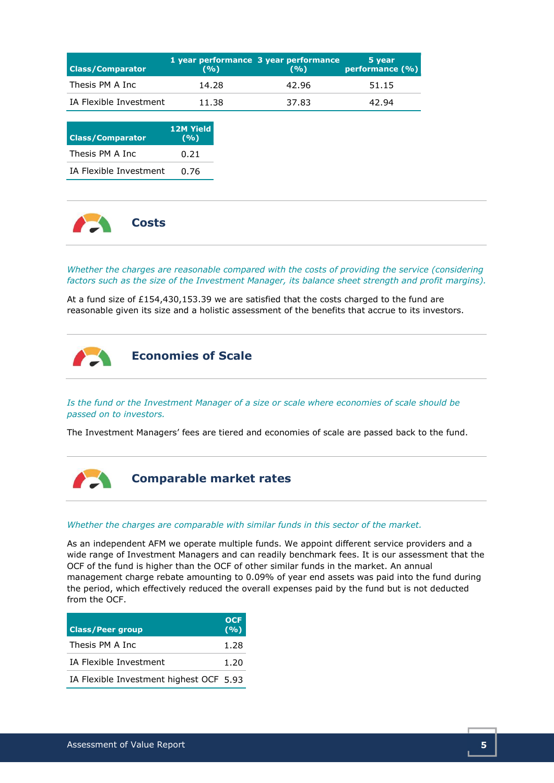| <b>Class/Comparator</b> | (%)   | 1 year performance 3 year performance<br>(9/0) | 5 year<br>performance (%) |
|-------------------------|-------|------------------------------------------------|---------------------------|
| Thesis PM A Inc         | 14.28 | 42.96                                          | 51.15                     |
| IA Flexible Investment  | 11.38 | 37.83                                          | 42.94                     |

| <b>Class/Comparator</b>       | <b>12M Yield</b><br>(9/0) |
|-------------------------------|---------------------------|
| Thesis PM A Inc.              | 0.21                      |
| <b>IA Flexible Investment</b> | በ.76                      |



Whether the charges are reasonable compared with the costs of providing the service (considering factors such as the size of the Investment Manager, its balance sheet strength and profit margins).

At a fund size of £154,430,153.39 we are satisfied that the costs charged to the fund are reasonable given its size and a holistic assessment of the benefits that accrue to its investors.



Is the fund or the Investment Manager of a size or scale where economies of scale should be passed on to investors.

The Investment Managers' fees are tiered and economies of scale are passed back to the fund.



Comparable market rates

#### Whether the charges are comparable with similar funds in this sector of the market.

As an independent AFM we operate multiple funds. We appoint different service providers and a wide range of Investment Managers and can readily benchmark fees. It is our assessment that the OCF of the fund is higher than the OCF of other similar funds in the market. An annual management charge rebate amounting to 0.09% of year end assets was paid into the fund during the period, which effectively reduced the overall expenses paid by the fund but is not deducted from the OCF.

| <b>Class/Peer group</b>                 | OCF<br>(9/6) |
|-----------------------------------------|--------------|
| Thesis PM A Inc                         | 1.28         |
| IA Flexible Investment                  |              |
| IA Flexible Investment highest OCF 5.93 |              |